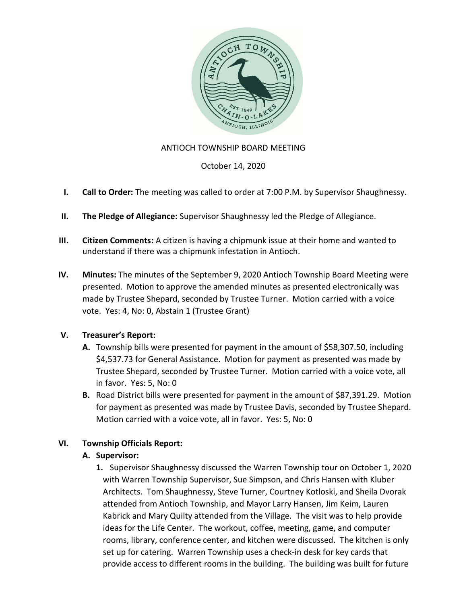

#### ANTIOCH TOWNSHIP BOARD MEETING

October 14, 2020

- I. Call to Order: The meeting was called to order at 7:00 P.M. by Supervisor Shaughnessy.
- II. The Pledge of Allegiance: Supervisor Shaughnessy led the Pledge of Allegiance.
- III. Citizen Comments: A citizen is having a chipmunk issue at their home and wanted to understand if there was a chipmunk infestation in Antioch.
- IV. Minutes: The minutes of the September 9, 2020 Antioch Township Board Meeting were presented. Motion to approve the amended minutes as presented electronically was made by Trustee Shepard, seconded by Trustee Turner. Motion carried with a voice vote. Yes: 4, No: 0, Abstain 1 (Trustee Grant)

#### V. Treasurer's Report:

- A. Township bills were presented for payment in the amount of \$58,307.50, including \$4,537.73 for General Assistance. Motion for payment as presented was made by Trustee Shepard, seconded by Trustee Turner. Motion carried with a voice vote, all in favor. Yes: 5, No: 0
- B. Road District bills were presented for payment in the amount of \$87,391.29. Motion for payment as presented was made by Trustee Davis, seconded by Trustee Shepard. Motion carried with a voice vote, all in favor. Yes: 5, No: 0

### VI. Township Officials Report:

#### A. Supervisor:

1. Supervisor Shaughnessy discussed the Warren Township tour on October 1, 2020 with Warren Township Supervisor, Sue Simpson, and Chris Hansen with Kluber Architects. Tom Shaughnessy, Steve Turner, Courtney Kotloski, and Sheila Dvorak attended from Antioch Township, and Mayor Larry Hansen, Jim Keim, Lauren Kabrick and Mary Quilty attended from the Village. The visit was to help provide ideas for the Life Center. The workout, coffee, meeting, game, and computer rooms, library, conference center, and kitchen were discussed. The kitchen is only set up for catering. Warren Township uses a check-in desk for key cards that provide access to different rooms in the building. The building was built for future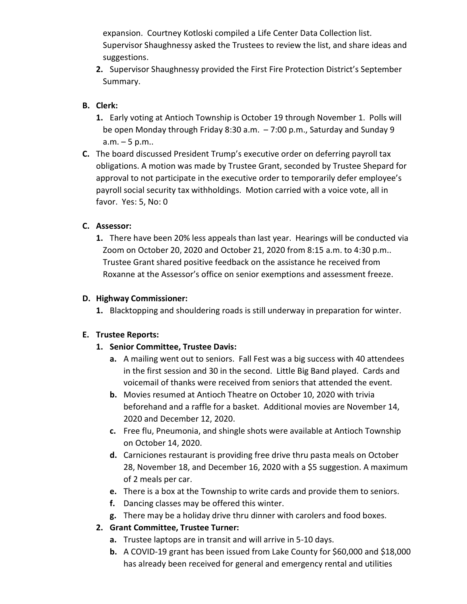expansion. Courtney Kotloski compiled a Life Center Data Collection list. Supervisor Shaughnessy asked the Trustees to review the list, and share ideas and suggestions.

2. Supervisor Shaughnessy provided the First Fire Protection District's September Summary.

## B. Clerk:

- 1. Early voting at Antioch Township is October 19 through November 1. Polls will be open Monday through Friday 8:30 a.m. – 7:00 p.m., Saturday and Sunday 9 a.m. – 5 p.m..
- C. The board discussed President Trump's executive order on deferring payroll tax obligations. A motion was made by Trustee Grant, seconded by Trustee Shepard for approval to not participate in the executive order to temporarily defer employee's payroll social security tax withholdings. Motion carried with a voice vote, all in favor. Yes: 5, No: 0

# C. Assessor:

1. There have been 20% less appeals than last year. Hearings will be conducted via Zoom on October 20, 2020 and October 21, 2020 from 8:15 a.m. to 4:30 p.m.. Trustee Grant shared positive feedback on the assistance he received from Roxanne at the Assessor's office on senior exemptions and assessment freeze.

## D. Highway Commissioner:

1. Blacktopping and shouldering roads is still underway in preparation for winter.

## E. Trustee Reports:

- 1. Senior Committee, Trustee Davis:
	- a. A mailing went out to seniors. Fall Fest was a big success with 40 attendees in the first session and 30 in the second. Little Big Band played. Cards and voicemail of thanks were received from seniors that attended the event.
	- b. Movies resumed at Antioch Theatre on October 10, 2020 with trivia beforehand and a raffle for a basket. Additional movies are November 14, 2020 and December 12, 2020.
	- c. Free flu, Pneumonia, and shingle shots were available at Antioch Township on October 14, 2020.
	- d. Carniciones restaurant is providing free drive thru pasta meals on October 28, November 18, and December 16, 2020 with a \$5 suggestion. A maximum of 2 meals per car.
	- e. There is a box at the Township to write cards and provide them to seniors.
	- f. Dancing classes may be offered this winter.
	- g. There may be a holiday drive thru dinner with carolers and food boxes.

## 2. Grant Committee, Trustee Turner:

- a. Trustee laptops are in transit and will arrive in 5-10 days.
- b. A COVID-19 grant has been issued from Lake County for \$60,000 and \$18,000 has already been received for general and emergency rental and utilities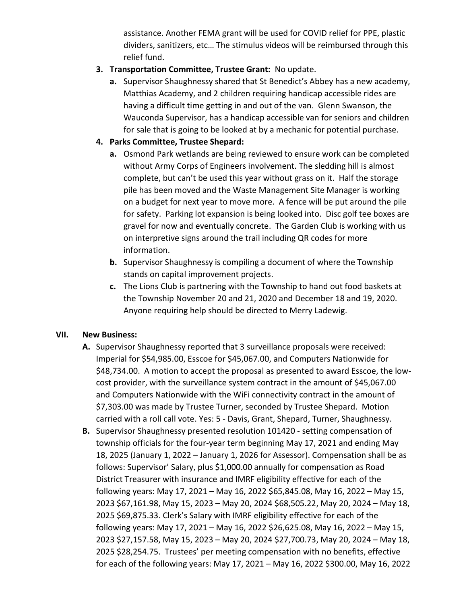assistance. Another FEMA grant will be used for COVID relief for PPE, plastic dividers, sanitizers, etc… The stimulus videos will be reimbursed through this relief fund.

## 3. Transportation Committee, Trustee Grant: No update.

a. Supervisor Shaughnessy shared that St Benedict's Abbey has a new academy, Matthias Academy, and 2 children requiring handicap accessible rides are having a difficult time getting in and out of the van. Glenn Swanson, the Wauconda Supervisor, has a handicap accessible van for seniors and children for sale that is going to be looked at by a mechanic for potential purchase.

## 4. Parks Committee, Trustee Shepard:

- a. Osmond Park wetlands are being reviewed to ensure work can be completed without Army Corps of Engineers involvement. The sledding hill is almost complete, but can't be used this year without grass on it. Half the storage pile has been moved and the Waste Management Site Manager is working on a budget for next year to move more. A fence will be put around the pile for safety. Parking lot expansion is being looked into. Disc golf tee boxes are gravel for now and eventually concrete. The Garden Club is working with us on interpretive signs around the trail including QR codes for more information.
- b. Supervisor Shaughnessy is compiling a document of where the Township stands on capital improvement projects.
- c. The Lions Club is partnering with the Township to hand out food baskets at the Township November 20 and 21, 2020 and December 18 and 19, 2020. Anyone requiring help should be directed to Merry Ladewig.

### VII. New Business:

- A. Supervisor Shaughnessy reported that 3 surveillance proposals were received: Imperial for \$54,985.00, Esscoe for \$45,067.00, and Computers Nationwide for \$48,734.00. A motion to accept the proposal as presented to award Esscoe, the lowcost provider, with the surveillance system contract in the amount of \$45,067.00 and Computers Nationwide with the WiFi connectivity contract in the amount of \$7,303.00 was made by Trustee Turner, seconded by Trustee Shepard. Motion carried with a roll call vote. Yes: 5 - Davis, Grant, Shepard, Turner, Shaughnessy.
- B. Supervisor Shaughnessy presented resolution 101420 setting compensation of township officials for the four-year term beginning May 17, 2021 and ending May 18, 2025 (January 1, 2022 – January 1, 2026 for Assessor). Compensation shall be as follows: Supervisor' Salary, plus \$1,000.00 annually for compensation as Road District Treasurer with insurance and IMRF eligibility effective for each of the following years: May 17, 2021 – May 16, 2022 \$65,845.08, May 16, 2022 – May 15, 2023 \$67,161.98, May 15, 2023 – May 20, 2024 \$68,505.22, May 20, 2024 – May 18, 2025 \$69,875.33. Clerk's Salary with IMRF eligibility effective for each of the following years: May 17, 2021 – May 16, 2022 \$26,625.08, May 16, 2022 – May 15, 2023 \$27,157.58, May 15, 2023 – May 20, 2024 \$27,700.73, May 20, 2024 – May 18, 2025 \$28,254.75. Trustees' per meeting compensation with no benefits, effective for each of the following years: May 17, 2021 – May 16, 2022 \$300.00, May 16, 2022